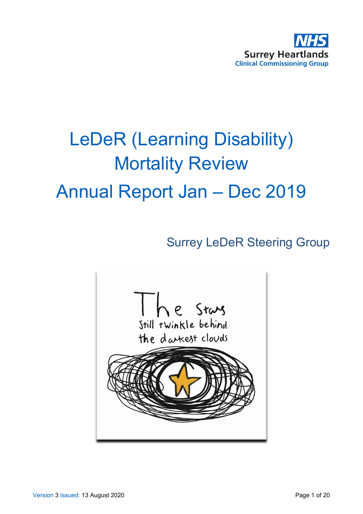

# LeDeR (Learning Disability) Mortality Review Annual Report Jan – Dec 2019

# Surrey LeDeR Steering Group

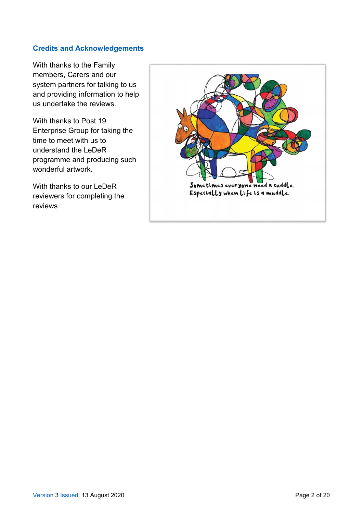#### **Credits and Acknowledgements**

With thanks to the Family members, Carers and our system partners for talking to us and providing information to help us undertake the reviews.

With thanks to Post 19 Enterprise Group for taking the time to meet with us to understand the LeDeR programme and producing such wonderful artwork.

With thanks to our LeDeR reviewers for completing the reviews

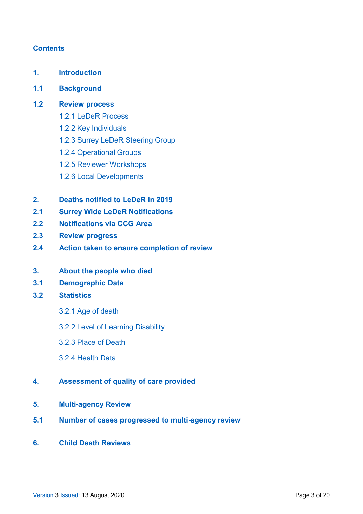#### **Contents**

- **1. Introduction**
- **1.1 Background**
- **1.2 Review process** 
	- 1.2.1 LeDeR Process
	- 1.2.2 Key Individuals
	- 1.2.3 Surrey LeDeR Steering Group
	- 1.2.4 Operational Groups
	- 1.2.5 Reviewer Workshops
	- 1.2.6 Local Developments
- **2. Deaths notified to LeDeR in 2019**
- **2.1 Surrey Wide LeDeR Notifications**
- **2.2 Notifications via CCG Area**
- **2.3 Review progress**
- **2.4 Action taken to ensure completion of review**
- **3. About the people who died**
- **3.1 Demographic Data**
- **3.2 Statistics**
	- 3.2.1 Age of death
	- 3.2.2 Level of Learning Disability
	- 3.2.3 Place of Death
	- 3.2.4 Health Data
- **4. Assessment of quality of care provided**
- **5. Multi-agency Review**
- **5.1 Number of cases progressed to multi-agency review**
- **6. Child Death Reviews**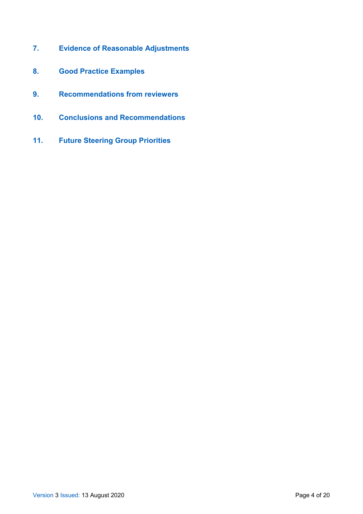- **7. Evidence of Reasonable Adjustments**
- **8. Good Practice Examples**
- **9. Recommendations from reviewers**
- **10. Conclusions and Recommendations**
- **11. Future Steering Group Priorities**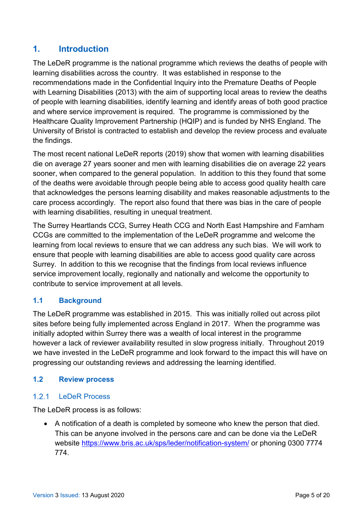### **1. Introduction**

The LeDeR programme is the national programme which reviews the deaths of people with learning disabilities across the country. It was established in response to the recommendations made in the Confidential Inquiry into the Premature Deaths of People with Learning Disabilities (2013) with the aim of supporting local areas to review the deaths of people with learning disabilities, identify learning and identify areas of both good practice and where service improvement is required. The programme is commissioned by the Healthcare Quality Improvement Partnership (HQIP) and is funded by NHS England. The University of Bristol is contracted to establish and develop the review process and evaluate the findings.

The most recent national LeDeR reports (2019) show that women with learning disabilities die on average 27 years sooner and men with learning disabilities die on average 22 years sooner, when compared to the general population. In addition to this they found that some of the deaths were avoidable through people being able to access good quality health care that acknowledges the persons learning disability and makes reasonable adjustments to the care process accordingly. The report also found that there was bias in the care of people with learning disabilities, resulting in unequal treatment.

The Surrey Heartlands CCG, Surrey Heath CCG and North East Hampshire and Farnham CCGs are committed to the implementation of the LeDeR programme and welcome the learning from local reviews to ensure that we can address any such bias. We will work to ensure that people with learning disabilities are able to access good quality care across Surrey. In addition to this we recognise that the findings from local reviews influence service improvement locally, regionally and nationally and welcome the opportunity to contribute to service improvement at all levels.

### **1.1 Background**

The LeDeR programme was established in 2015. This was initially rolled out across pilot sites before being fully implemented across England in 2017. When the programme was initially adopted within Surrey there was a wealth of local interest in the programme however a lack of reviewer availability resulted in slow progress initially. Throughout 2019 we have invested in the LeDeR programme and look forward to the impact this will have on progressing our outstanding reviews and addressing the learning identified.

#### **1.2 Review process**

#### $1.2.1$ LeDeR Process

The LeDeR process is as follows:

• A notification of a death is completed by someone who knew the person that died. This can be anyone involved in the persons care and can be done via the LeDeR website<https://www.bris.ac.uk/sps/leder/notification-system/> or phoning 0300 7774 774.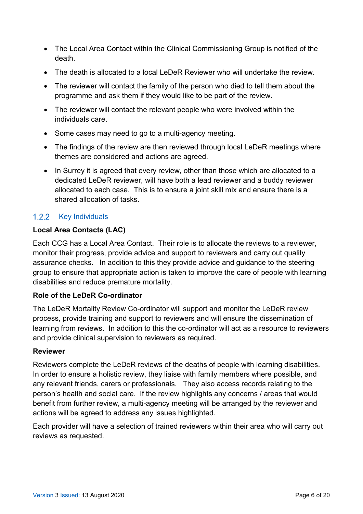- The Local Area Contact within the Clinical Commissioning Group is notified of the death.
- The death is allocated to a local LeDeR Reviewer who will undertake the review.
- The reviewer will contact the family of the person who died to tell them about the programme and ask them if they would like to be part of the review.
- The reviewer will contact the relevant people who were involved within the individuals care.
- Some cases may need to go to a multi-agency meeting.
- The findings of the review are then reviewed through local LeDeR meetings where themes are considered and actions are agreed.
- In Surrey it is agreed that every review, other than those which are allocated to a dedicated LeDeR reviewer, will have both a lead reviewer and a buddy reviewer allocated to each case. This is to ensure a joint skill mix and ensure there is a shared allocation of tasks.

#### 1.2.2 Key Individuals

#### **Local Area Contacts (LAC)**

Each CCG has a Local Area Contact. Their role is to allocate the reviews to a reviewer, monitor their progress, provide advice and support to reviewers and carry out quality assurance checks. In addition to this they provide advice and guidance to the steering group to ensure that appropriate action is taken to improve the care of people with learning disabilities and reduce premature mortality.

#### **Role of the LeDeR Co-ordinator**

The LeDeR Mortality Review Co-ordinator will support and monitor the LeDeR review process, provide training and support to reviewers and will ensure the dissemination of learning from reviews. In addition to this the co-ordinator will act as a resource to reviewers and provide clinical supervision to reviewers as required.

#### **Reviewer**

Reviewers complete the LeDeR reviews of the deaths of people with learning disabilities. In order to ensure a holistic review, they liaise with family members where possible, and any relevant friends, carers or professionals. They also access records relating to the person's health and social care. If the review highlights any concerns / areas that would benefit from further review, a multi-agency meeting will be arranged by the reviewer and actions will be agreed to address any issues highlighted.

Each provider will have a selection of trained reviewers within their area who will carry out reviews as requested.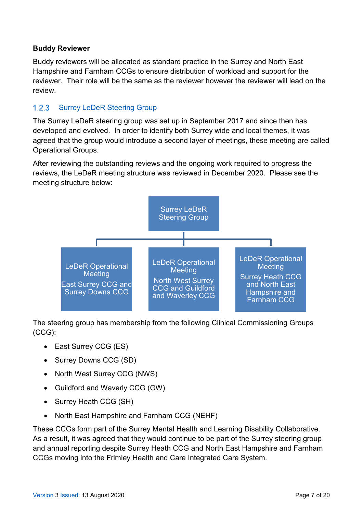#### **Buddy Reviewer**

Buddy reviewers will be allocated as standard practice in the Surrey and North East Hampshire and Farnham CCGs to ensure distribution of workload and support for the reviewer. Their role will be the same as the reviewer however the reviewer will lead on the review.

#### $1.2.3$ Surrey LeDeR Steering Group

The Surrey LeDeR steering group was set up in September 2017 and since then has developed and evolved. In order to identify both Surrey wide and local themes, it was agreed that the group would introduce a second layer of meetings, these meeting are called Operational Groups.

After reviewing the outstanding reviews and the ongoing work required to progress the reviews, the LeDeR meeting structure was reviewed in December 2020. Please see the meeting structure below:



The steering group has membership from the following Clinical Commissioning Groups (CCG):

- East Surrey CCG (ES)
- Surrey Downs CCG (SD)
- North West Surrey CCG (NWS)
- Guildford and Waverly CCG (GW)
- Surrey Heath CCG (SH)
- North East Hampshire and Farnham CCG (NEHF)

These CCGs form part of the Surrey Mental Health and Learning Disability Collaborative. As a result, it was agreed that they would continue to be part of the Surrey steering group and annual reporting despite Surrey Heath CCG and North East Hampshire and Farnham CCGs moving into the Frimley Health and Care Integrated Care System.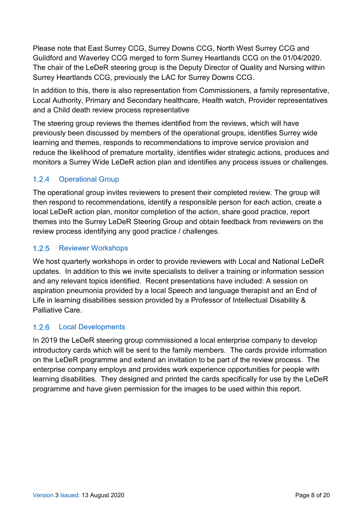Please note that East Surrey CCG, Surrey Downs CCG, North West Surrey CCG and Guildford and Waverley CCG merged to form Surrey Heartlands CCG on the 01/04/2020. The chair of the LeDeR steering group is the Deputy Director of Quality and Nursing within Surrey Heartlands CCG, previously the LAC for Surrey Downs CCG.

In addition to this, there is also representation from Commissioners, a family representative, Local Authority, Primary and Secondary healthcare, Health watch, Provider representatives and a Child death review process representative

The steering group reviews the themes identified from the reviews, which will have previously been discussed by members of the operational groups, identifies Surrey wide learning and themes, responds to recommendations to improve service provision and reduce the likelihood of premature mortality, identifies wider strategic actions, produces and monitors a Surrey Wide LeDeR action plan and identifies any process issues or challenges.

#### $1.2.4$ Operational Group

The operational group invites reviewers to present their completed review. The group will then respond to recommendations, identify a responsible person for each action, create a local LeDeR action plan, monitor completion of the action, share good practice, report themes into the Surrey LeDeR Steering Group and obtain feedback from reviewers on the review process identifying any good practice / challenges.

#### Reviewer Workshops  $1.2.5$

We host quarterly workshops in order to provide reviewers with Local and National LeDeR updates. In addition to this we invite specialists to deliver a training or information session and any relevant topics identified. Recent presentations have included: A session on aspiration pneumonia provided by a local Speech and language therapist and an End of Life in learning disabilities session provided by a Professor of Intellectual Disability & Palliative Care.

#### $1.2.6$ Local Developments

In 2019 the LeDeR steering group commissioned a local enterprise company to develop introductory cards which will be sent to the family members. The cards provide information on the LeDeR programme and extend an invitation to be part of the review process. The enterprise company employs and provides work experience opportunities for people with learning disabilities. They designed and printed the cards specifically for use by the LeDeR programme and have given permission for the images to be used within this report.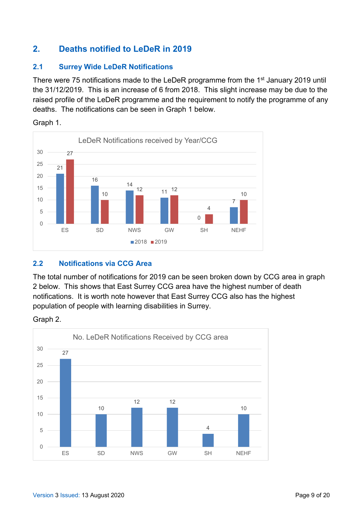# **2. Deaths notified to LeDeR in 2019**

#### **2.1 Surrey Wide LeDeR Notifications**

There were 75 notifications made to the LeDeR programme from the 1<sup>st</sup> January 2019 until the 31/12/2019. This is an increase of 6 from 2018. This slight increase may be due to the raised profile of the LeDeR programme and the requirement to notify the programme of any deaths. The notifications can be seen in Graph 1 below.



Graph 1.

### **2.2 Notifications via CCG Area**

The total number of notifications for 2019 can be seen broken down by CCG area in graph 2 below. This shows that East Surrey CCG area have the highest number of death notifications. It is worth note however that East Surrey CCG also has the highest population of people with learning disabilities in Surrey.

Graph 2.

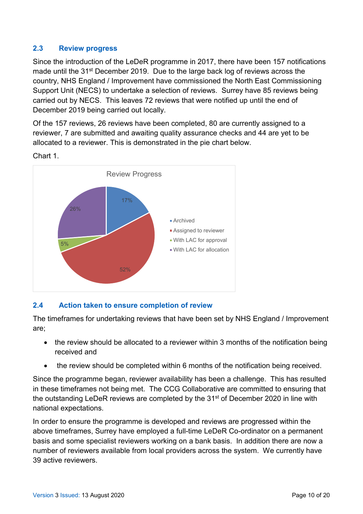#### **2.3 Review progress**

Since the introduction of the LeDeR programme in 2017, there have been 157 notifications made until the 31<sup>st</sup> December 2019. Due to the large back log of reviews across the country, NHS England / Improvement have commissioned the North East Commissioning Support Unit (NECS) to undertake a selection of reviews. Surrey have 85 reviews being carried out by NECS. This leaves 72 reviews that were notified up until the end of December 2019 being carried out locally.

Of the 157 reviews, 26 reviews have been completed, 80 are currently assigned to a reviewer, 7 are submitted and awaiting quality assurance checks and 44 are yet to be allocated to a reviewer. This is demonstrated in the pie chart below.

Chart 1.



#### **2.4 Action taken to ensure completion of review**

The timeframes for undertaking reviews that have been set by NHS England / Improvement are;

- the review should be allocated to a reviewer within 3 months of the notification being received and
- the review should be completed within 6 months of the notification being received.

Since the programme began, reviewer availability has been a challenge. This has resulted in these timeframes not being met. The CCG Collaborative are committed to ensuring that the outstanding LeDeR reviews are completed by the 31<sup>st</sup> of December 2020 in line with national expectations.

In order to ensure the programme is developed and reviews are progressed within the above timeframes, Surrey have employed a full-time LeDeR Co-ordinator on a permanent basis and some specialist reviewers working on a bank basis. In addition there are now a number of reviewers available from local providers across the system. We currently have 39 active reviewers.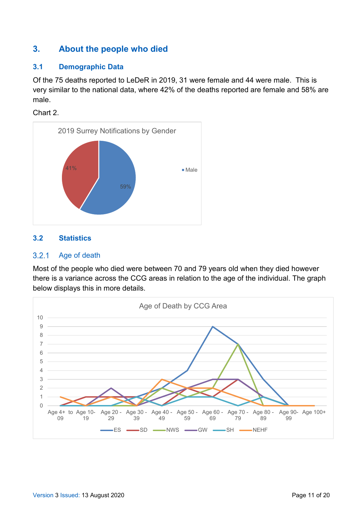### **3. About the people who died**

#### **3.1 Demographic Data**

Of the 75 deaths reported to LeDeR in 2019, 31 were female and 44 were male. This is very similar to the national data, where 42% of the deaths reported are female and 58% are male.

Chart 2.



#### **3.2 Statistics**

#### Age of death  $3.2.1$

Most of the people who died were between 70 and 79 years old when they died however there is a variance across the CCG areas in relation to the age of the individual. The graph below displays this in more details.

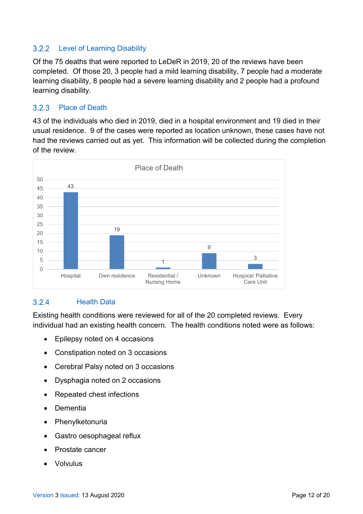#### $3.2.2$ Level of Learning Disability

Of the 75 deaths that were reported to LeDeR in 2019, 20 of the reviews have been completed. Of those 20, 3 people had a mild learning disability, 7 people had a moderate learning disability, 8 people had a severe learning disability and 2 people had a profound learning disability.

#### $3.2.3$ Place of Death

43 of the individuals who died in 2019, died in a hospital environment and 19 died in their usual residence. 9 of the cases were reported as location unknown, these cases have not had the reviews carried out as yet. This information will be collected during the completion of the review.



#### $3.2.4$ Health Data

Existing health conditions were reviewed for all of the 20 completed reviews. Every individual had an existing health concern. The health conditions noted were as follows:

- Epilepsy noted on 4 occasions
- Constipation noted on 3 occasions
- Cerebral Palsy noted on 3 occasions
- Dysphagia noted on 2 occasions
- Repeated chest infections
- Dementia
- **Phenylketonuria**
- Gastro oesophageal reflux
- Prostate cancer
- Volvulus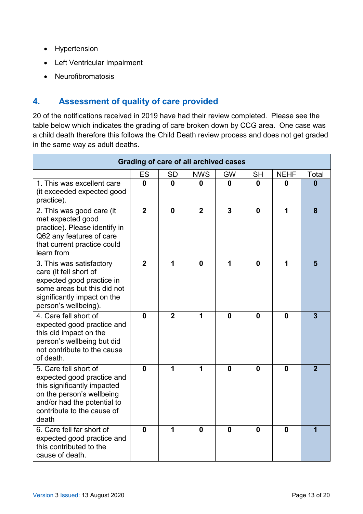- Hypertension
- Left Ventricular Impairment
- Neurofibromatosis

# **4. Assessment of quality of care provided**

20 of the notifications received in 2019 have had their review completed. Please see the table below which indicates the grading of care broken down by CCG area. One case was a child death therefore this follows the Child Death review process and does not get graded in the same way as adult deaths.

| <b>Grading of care of all archived cases</b>                                                                                                                                          |                |                |                |    |             |             |                |
|---------------------------------------------------------------------------------------------------------------------------------------------------------------------------------------|----------------|----------------|----------------|----|-------------|-------------|----------------|
|                                                                                                                                                                                       | ES             | SD             | <b>NWS</b>     | GW | <b>SH</b>   | <b>NEHF</b> | Total          |
| 1. This was excellent care<br>(it exceeded expected good<br>practice).                                                                                                                | 0              | $\mathbf{0}$   | 0              | 0  | 0           | Λ           | Λ              |
| 2. This was good care (it<br>met expected good<br>practice). Please identify in<br>Q62 any features of care<br>that current practice could<br>learn from                              | $\overline{2}$ | $\mathbf{0}$   | $\overline{2}$ | 3  | 0           | 1           | 8              |
| 3. This was satisfactory<br>care (it fell short of<br>expected good practice in<br>some areas but this did not<br>significantly impact on the<br>person's wellbeing).                 | $\overline{2}$ | 1              | $\mathbf{0}$   | 1  | $\bf{0}$    | 1           | 5              |
| 4. Care fell short of<br>expected good practice and<br>this did impact on the<br>person's wellbeing but did<br>not contribute to the cause<br>of death.                               | 0              | $\overline{2}$ | 1              | 0  | $\mathbf 0$ | $\bf{0}$    | 3              |
| 5. Care fell short of<br>expected good practice and<br>this significantly impacted<br>on the person's wellbeing<br>and/or had the potential to<br>contribute to the cause of<br>death | 0              | 1              | 1              | 0  | 0           | $\bf{0}$    | $\overline{2}$ |
| 6. Care fell far short of<br>expected good practice and<br>this contributed to the<br>cause of death.                                                                                 | O              | 1              | O              | O  | 0           | $\bf{0}$    |                |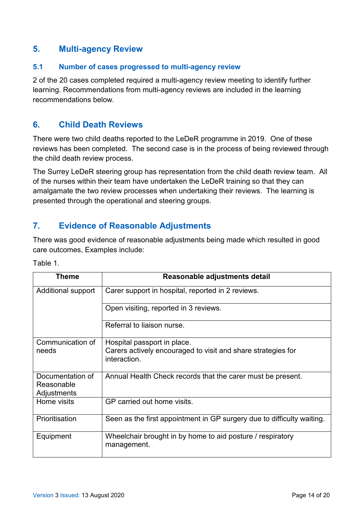### **5. Multi-agency Review**

#### **5.1 Number of cases progressed to multi-agency review**

2 of the 20 cases completed required a multi-agency review meeting to identify further learning. Recommendations from multi-agency reviews are included in the learning recommendations below.

### **6. Child Death Reviews**

There were two child deaths reported to the LeDeR programme in 2019. One of these reviews has been completed. The second case is in the process of being reviewed through the child death review process.

The Surrey LeDeR steering group has representation from the child death review team. All of the nurses within their team have undertaken the LeDeR training so that they can amalgamate the two review processes when undertaking their reviews. The learning is presented through the operational and steering groups.

### **7. Evidence of Reasonable Adjustments**

There was good evidence of reasonable adjustments being made which resulted in good care outcomes, Examples include:

| Theme                     | Reasonable adjustments detail                                                |
|---------------------------|------------------------------------------------------------------------------|
| Additional support        | Carer support in hospital, reported in 2 reviews.                            |
|                           | Open visiting, reported in 3 reviews.                                        |
|                           | Referral to liaison nurse.                                                   |
| Communication of          | Hospital passport in place.                                                  |
| needs                     | Carers actively encouraged to visit and share strategies for<br>interaction. |
| Documentation of          | Annual Health Check records that the carer must be present.                  |
| Reasonable<br>Adjustments |                                                                              |
| Home visits               | GP carried out home visits.                                                  |
| Prioritisation            | Seen as the first appointment in GP surgery due to difficulty waiting.       |
| Equipment                 | Wheelchair brought in by home to aid posture / respiratory<br>management.    |

Table 1.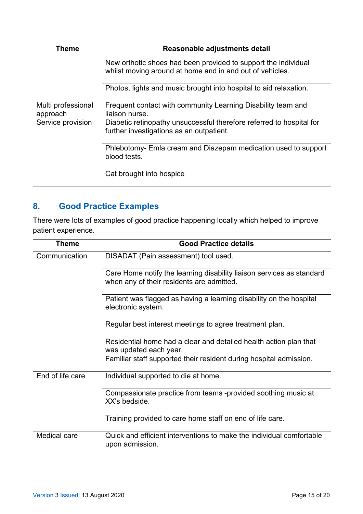| Theme                          | Reasonable adjustments detail                                                                                              |
|--------------------------------|----------------------------------------------------------------------------------------------------------------------------|
|                                | New orthotic shoes had been provided to support the individual<br>whilst moving around at home and in and out of vehicles. |
|                                | Photos, lights and music brought into hospital to aid relaxation.                                                          |
| Multi professional<br>approach | Frequent contact with community Learning Disability team and<br>liaison nurse.                                             |
| Service provision              | Diabetic retinopathy unsuccessful therefore referred to hospital for<br>further investigations as an outpatient.           |
|                                | Phlebotomy- Emla cream and Diazepam medication used to support<br>blood tests.                                             |
|                                | Cat brought into hospice                                                                                                   |

# **8. Good Practice Examples**

There were lots of examples of good practice happening locally which helped to improve patient experience.

| Theme            | <b>Good Practice details</b>                                                                                       |
|------------------|--------------------------------------------------------------------------------------------------------------------|
| Communication    | DISADAT (Pain assessment) tool used.                                                                               |
|                  | Care Home notify the learning disability liaison services as standard<br>when any of their residents are admitted. |
|                  | Patient was flagged as having a learning disability on the hospital<br>electronic system.                          |
|                  | Regular best interest meetings to agree treatment plan.                                                            |
|                  | Residential home had a clear and detailed health action plan that<br>was updated each year.                        |
|                  | Familiar staff supported their resident during hospital admission.                                                 |
| End of life care | Individual supported to die at home.                                                                               |
|                  | Compassionate practice from teams -provided soothing music at<br>XX's bedside.                                     |
|                  | Training provided to care home staff on end of life care.                                                          |
| Medical care     | Quick and efficient interventions to make the individual comfortable<br>upon admission.                            |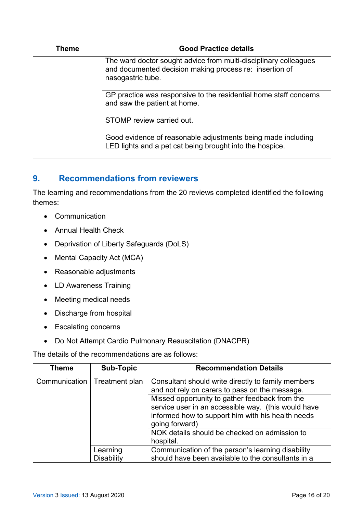| Theme | <b>Good Practice details</b>                                                                                                                     |
|-------|--------------------------------------------------------------------------------------------------------------------------------------------------|
|       | The ward doctor sought advice from multi-disciplinary colleagues<br>and documented decision making process re: insertion of<br>nasogastric tube. |
|       | GP practice was responsive to the residential home staff concerns<br>and saw the patient at home.                                                |
|       | STOMP review carried out.                                                                                                                        |
|       | Good evidence of reasonable adjustments being made including<br>LED lights and a pet cat being brought into the hospice.                         |

### **9. Recommendations from reviewers**

The learning and recommendations from the 20 reviews completed identified the following themes:

- Communication
- Annual Health Check
- Deprivation of Liberty Safeguards (DoLS)
- Mental Capacity Act (MCA)
- Reasonable adjustments
- LD Awareness Training
- Meeting medical needs
- Discharge from hospital
- Escalating concerns
- Do Not Attempt Cardio Pulmonary Resuscitation (DNACPR)

The details of the recommendations are as follows:

| Theme         | <b>Sub-Topic</b>       | <b>Recommendation Details</b>                                                                                                                                                                                                                                                                                                                      |
|---------------|------------------------|----------------------------------------------------------------------------------------------------------------------------------------------------------------------------------------------------------------------------------------------------------------------------------------------------------------------------------------------------|
| Communication | Treatment plan         | Consultant should write directly to family members<br>and not rely on carers to pass on the message.<br>Missed opportunity to gather feedback from the<br>service user in an accessible way. (this would have<br>informed how to support him with his health needs<br>going forward)<br>NOK details should be checked on admission to<br>hospital. |
|               | Learning<br>Disability | Communication of the person's learning disability<br>should have been available to the consultants in a                                                                                                                                                                                                                                            |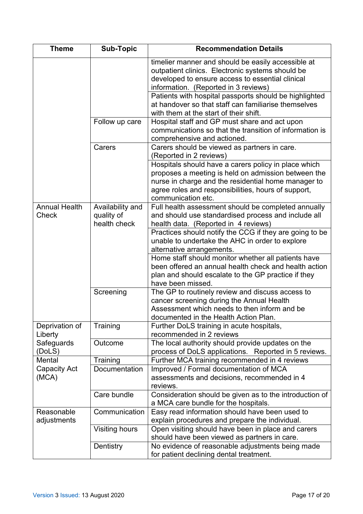| <b>Theme</b>                  | Sub-Topic                        | <b>Recommendation Details</b>                                                                                                                              |
|-------------------------------|----------------------------------|------------------------------------------------------------------------------------------------------------------------------------------------------------|
|                               |                                  | timelier manner and should be easily accessible at<br>outpatient clinics. Electronic systems should be<br>developed to ensure access to essential clinical |
|                               |                                  | information. (Reported in 3 reviews)                                                                                                                       |
|                               |                                  | Patients with hospital passports should be highlighted                                                                                                     |
|                               |                                  | at handover so that staff can familiarise themselves                                                                                                       |
|                               |                                  | with them at the start of their shift.                                                                                                                     |
|                               | Follow up care                   | Hospital staff and GP must share and act upon                                                                                                              |
|                               |                                  | communications so that the transition of information is                                                                                                    |
|                               |                                  | comprehensive and actioned.                                                                                                                                |
|                               | Carers                           | Carers should be viewed as partners in care.                                                                                                               |
|                               |                                  | (Reported in 2 reviews)                                                                                                                                    |
|                               |                                  | Hospitals should have a carers policy in place which<br>proposes a meeting is held on admission between the                                                |
|                               |                                  | nurse in charge and the residential home manager to                                                                                                        |
|                               |                                  | agree roles and responsibilities, hours of support,                                                                                                        |
|                               |                                  | communication etc.                                                                                                                                         |
| <b>Annual Health</b>          | Availability and                 | Full health assessment should be completed annually                                                                                                        |
| <b>Check</b>                  | quality of                       | and should use standardised process and include all                                                                                                        |
|                               | health check                     | health data. (Reported in 4 reviews)                                                                                                                       |
|                               |                                  | Practices should notify the CCG if they are going to be                                                                                                    |
|                               |                                  | unable to undertake the AHC in order to explore                                                                                                            |
|                               |                                  | alternative arrangements.                                                                                                                                  |
|                               |                                  | Home staff should monitor whether all patients have                                                                                                        |
|                               |                                  | been offered an annual health check and health action<br>plan and should escalate to the GP practice if they                                               |
|                               |                                  | have been missed.                                                                                                                                          |
|                               | Screening                        | The GP to routinely review and discuss access to                                                                                                           |
|                               |                                  | cancer screening during the Annual Health                                                                                                                  |
|                               |                                  | Assessment which needs to then inform and be                                                                                                               |
|                               |                                  | documented in the Health Action Plan.                                                                                                                      |
| Deprivation of                | Training                         | Further DoLS training in acute hospitals,                                                                                                                  |
| Liberty                       |                                  | recommended in 2 reviews                                                                                                                                   |
| Safeguards                    | Outcome                          | The local authority should provide updates on the                                                                                                          |
| (DoLS)                        |                                  | process of DoLS applications. Reported in 5 reviews.                                                                                                       |
| Mental<br><b>Capacity Act</b> | Training<br><b>Documentation</b> | Further MCA training recommended in 4 reviews<br>Improved / Formal documentation of MCA                                                                    |
| (MCA)                         |                                  | assessments and decisions, recommended in 4                                                                                                                |
|                               |                                  | reviews.                                                                                                                                                   |
|                               | Care bundle                      | Consideration should be given as to the introduction of                                                                                                    |
|                               |                                  | a MCA care bundle for the hospitals.                                                                                                                       |
| Reasonable                    | Communication                    | Easy read information should have been used to                                                                                                             |
| adjustments                   |                                  | explain procedures and prepare the individual.                                                                                                             |
|                               | Visiting hours                   | Open visiting should have been in place and carers                                                                                                         |
|                               |                                  | should have been viewed as partners in care.                                                                                                               |
|                               | Dentistry                        | No evidence of reasonable adjustments being made                                                                                                           |
|                               |                                  | for patient declining dental treatment.                                                                                                                    |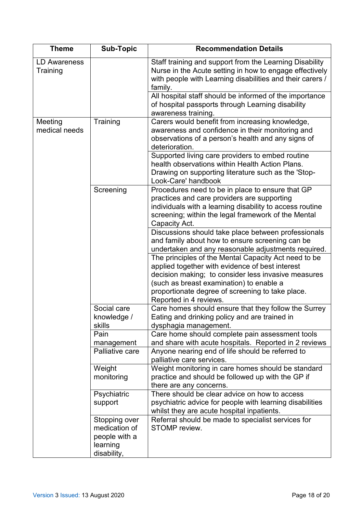| <b>Theme</b>                    | Sub-Topic                                                                  | <b>Recommendation Details</b>                                                                                                                                                                                                                                                            |
|---------------------------------|----------------------------------------------------------------------------|------------------------------------------------------------------------------------------------------------------------------------------------------------------------------------------------------------------------------------------------------------------------------------------|
| <b>LD Awareness</b><br>Training |                                                                            | Staff training and support from the Learning Disability<br>Nurse in the Acute setting in how to engage effectively<br>with people with Learning disabilities and their carers /<br>family.                                                                                               |
|                                 |                                                                            | All hospital staff should be informed of the importance<br>of hospital passports through Learning disability                                                                                                                                                                             |
|                                 |                                                                            | awareness training.                                                                                                                                                                                                                                                                      |
| Meeting<br>medical needs        | Training                                                                   | Carers would benefit from increasing knowledge,<br>awareness and confidence in their monitoring and<br>observations of a person's health and any signs of<br>deterioration.                                                                                                              |
|                                 |                                                                            | Supported living care providers to embed routine<br>health observations within Health Action Plans.<br>Drawing on supporting literature such as the 'Stop-<br>Look-Care' handbook                                                                                                        |
|                                 | Screening                                                                  | Procedures need to be in place to ensure that GP<br>practices and care providers are supporting<br>individuals with a learning disability to access routine<br>screening; within the legal framework of the Mental<br>Capacity Act.                                                      |
|                                 |                                                                            | Discussions should take place between professionals<br>and family about how to ensure screening can be<br>undertaken and any reasonable adjustments required.                                                                                                                            |
|                                 |                                                                            | The principles of the Mental Capacity Act need to be<br>applied together with evidence of best interest<br>decision making; to consider less invasive measures<br>(such as breast examination) to enable a<br>proportionate degree of screening to take place.<br>Reported in 4 reviews. |
|                                 | Social care<br>knowledge /<br>skills                                       | Care homes should ensure that they follow the Surrey<br>Eating and drinking policy and are trained in<br>dysphagia management.                                                                                                                                                           |
|                                 | Pain<br>management                                                         | Care home should complete pain assessment tools<br>and share with acute hospitals. Reported in 2 reviews                                                                                                                                                                                 |
|                                 | Palliative care                                                            | Anyone nearing end of life should be referred to<br>palliative care services.                                                                                                                                                                                                            |
|                                 | Weight<br>monitoring                                                       | Weight monitoring in care homes should be standard<br>practice and should be followed up with the GP if<br>there are any concerns.                                                                                                                                                       |
|                                 | Psychiatric<br>support                                                     | There should be clear advice on how to access<br>psychiatric advice for people with learning disabilities<br>whilst they are acute hospital inpatients.                                                                                                                                  |
|                                 | Stopping over<br>medication of<br>people with a<br>learning<br>disability, | Referral should be made to specialist services for<br>STOMP review.                                                                                                                                                                                                                      |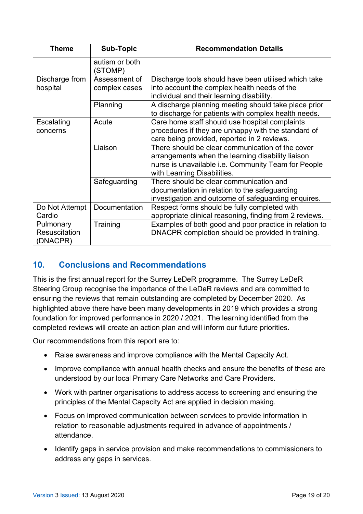| <b>Theme</b>                                  | <b>Sub-Topic</b>               | <b>Recommendation Details</b>                                                                                                                                                               |
|-----------------------------------------------|--------------------------------|---------------------------------------------------------------------------------------------------------------------------------------------------------------------------------------------|
|                                               | autism or both<br>(STOMP)      |                                                                                                                                                                                             |
| Discharge from<br>hospital                    | Assessment of<br>complex cases | Discharge tools should have been utilised which take<br>into account the complex health needs of the<br>individual and their learning disability.                                           |
|                                               | Planning                       | A discharge planning meeting should take place prior<br>to discharge for patients with complex health needs.                                                                                |
| Escalating<br>concerns                        | Acute                          | Care home staff should use hospital complaints<br>procedures if they are unhappy with the standard of<br>care being provided, reported in 2 reviews.                                        |
|                                               | Liaison                        | There should be clear communication of the cover<br>arrangements when the learning disability liaison<br>nurse is unavailable i.e. Community Team for People<br>with Learning Disabilities. |
|                                               | Safeguarding                   | There should be clear communication and<br>documentation in relation to the safeguarding<br>investigation and outcome of safeguarding enquires.                                             |
| Do Not Attempt<br>Cardio                      | Documentation                  | Respect forms should be fully completed with<br>appropriate clinical reasoning, finding from 2 reviews.                                                                                     |
| Pulmonary<br><b>Resuscitation</b><br>(DNACPR) | Training                       | Examples of both good and poor practice in relation to<br>DNACPR completion should be provided in training.                                                                                 |

### **10. Conclusions and Recommendations**

This is the first annual report for the Surrey LeDeR programme. The Surrey LeDeR Steering Group recognise the importance of the LeDeR reviews and are committed to ensuring the reviews that remain outstanding are completed by December 2020. As highlighted above there have been many developments in 2019 which provides a strong foundation for improved performance in 2020 / 2021. The learning identified from the completed reviews will create an action plan and will inform our future priorities.

Our recommendations from this report are to:

- Raise awareness and improve compliance with the Mental Capacity Act.
- Improve compliance with annual health checks and ensure the benefits of these are understood by our local Primary Care Networks and Care Providers.
- Work with partner organisations to address access to screening and ensuring the principles of the Mental Capacity Act are applied in decision making.
- Focus on improved communication between services to provide information in relation to reasonable adjustments required in advance of appointments / attendance.
- Identify gaps in service provision and make recommendations to commissioners to address any gaps in services.